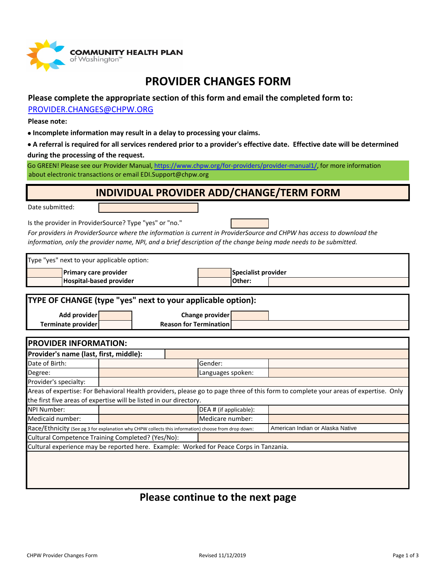

## **PROVIDER CHANGES FORM**

### **Please complete the appropriate section of this form and email the completed form to:**

#### [PROVIDER.CHANGES@CHPW.ORG](mailto:PROVIDER.CHANGES@CHPW.ORG)

**Please note:**

- **Incomplete information may result in a delay to processing your claims.**
- **A referral is required for all services rendered prior to a provider's effective date. Effective date will be determined during the processing of the request.**

[Go GREEN! P](https://www.chpw.org/for-providers/provider-manual1/)lease see our Provider Manual, <https://www.chpw.org/for-providers/provider-manual1/>, for more information [about electro](mailto:EDI.Support@chpw.org)nic transactions or email EDI.Support@chpw.org

### **INDIVIDUAL PROVIDER ADD/CHANGE/TERM FORM**

Date submitted:

Is the provider in ProviderSource? Type "yes" or "no."



*For providers in ProviderSource where the information is current in ProviderSource and CHPW has access to download the information, only the provider name, NPI, and a brief description of the change being made needs to be submitted.*

| Type "yes" next to your applicable option:                                                                                          |  |                               |                            |                  |                                  |  |  |  |
|-------------------------------------------------------------------------------------------------------------------------------------|--|-------------------------------|----------------------------|------------------|----------------------------------|--|--|--|
| Primary care provider                                                                                                               |  |                               | <b>Specialist provider</b> |                  |                                  |  |  |  |
| Hospital-based provider                                                                                                             |  |                               |                            | Other:           |                                  |  |  |  |
|                                                                                                                                     |  |                               |                            |                  |                                  |  |  |  |
| <b>TYPE OF CHANGE (type "yes" next to your applicable option):</b>                                                                  |  |                               |                            |                  |                                  |  |  |  |
| Add provider                                                                                                                        |  |                               |                            | Change provider  |                                  |  |  |  |
| Terminate provider                                                                                                                  |  | <b>Reason for Termination</b> |                            |                  |                                  |  |  |  |
|                                                                                                                                     |  |                               |                            |                  |                                  |  |  |  |
| <b>PROVIDER INFORMATION:</b>                                                                                                        |  |                               |                            |                  |                                  |  |  |  |
| Provider's name (last, first, middle):                                                                                              |  |                               |                            |                  |                                  |  |  |  |
| Date of Birth:                                                                                                                      |  |                               | Gender:                    |                  |                                  |  |  |  |
| Degree:                                                                                                                             |  |                               | Languages spoken:          |                  |                                  |  |  |  |
| Provider's specialty:                                                                                                               |  |                               |                            |                  |                                  |  |  |  |
| Areas of expertise: For Behavioral Health providers, please go to page three of this form to complete your areas of expertise. Only |  |                               |                            |                  |                                  |  |  |  |
| the first five areas of expertise will be listed in our directory.                                                                  |  |                               |                            |                  |                                  |  |  |  |
| <b>NPI Number:</b>                                                                                                                  |  |                               | DEA # (if applicable):     |                  |                                  |  |  |  |
| Medicaid number:                                                                                                                    |  |                               |                            | Medicare number: |                                  |  |  |  |
| Race/Ethnicity (See pg 3 for explanation why CHPW collects this information) choose from drop down:                                 |  |                               |                            |                  | American Indian or Alaska Native |  |  |  |
| Cultural Competence Training Completed? (Yes/No):                                                                                   |  |                               |                            |                  |                                  |  |  |  |
| Cultural experience may be reported here. Example: Worked for Peace Corps in Tanzania.                                              |  |                               |                            |                  |                                  |  |  |  |
|                                                                                                                                     |  |                               |                            |                  |                                  |  |  |  |

### **Please continue to the next page**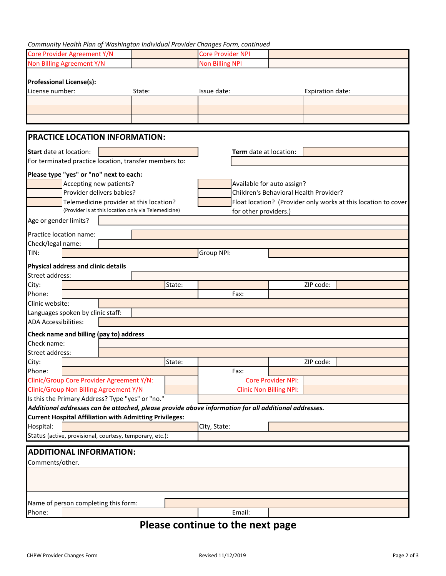#### *Community Health Plan of Washington Individual Provider Changes Form, continued*

| Core Provider Agreement Y/N                                                                          |        | <b>Core Provider NPI</b>                                       |                                |  |  |  |  |  |
|------------------------------------------------------------------------------------------------------|--------|----------------------------------------------------------------|--------------------------------|--|--|--|--|--|
| Non Billing Agreement Y/N                                                                            |        | <b>Non Billing NPI</b>                                         |                                |  |  |  |  |  |
|                                                                                                      |        |                                                                |                                |  |  |  |  |  |
| <b>Professional License(s):</b>                                                                      |        |                                                                |                                |  |  |  |  |  |
| License number:                                                                                      | State: | Issue date:                                                    | Expiration date:               |  |  |  |  |  |
|                                                                                                      |        |                                                                |                                |  |  |  |  |  |
|                                                                                                      |        |                                                                |                                |  |  |  |  |  |
|                                                                                                      |        |                                                                |                                |  |  |  |  |  |
|                                                                                                      |        |                                                                |                                |  |  |  |  |  |
| <b>PRACTICE LOCATION INFORMATION:</b>                                                                |        |                                                                |                                |  |  |  |  |  |
| Start date at location:                                                                              |        | Term date at location:                                         |                                |  |  |  |  |  |
| For terminated practice location, transfer members to:                                               |        |                                                                |                                |  |  |  |  |  |
|                                                                                                      |        |                                                                |                                |  |  |  |  |  |
| Please type "yes" or "no" next to each:                                                              |        |                                                                |                                |  |  |  |  |  |
| Accepting new patients?                                                                              |        | Available for auto assign?                                     |                                |  |  |  |  |  |
| Provider delivers babies?                                                                            |        | Children's Behavioral Health Provider?                         |                                |  |  |  |  |  |
| Telemedicine provider at this location?                                                              |        | Float location? (Provider only works at this location to cover |                                |  |  |  |  |  |
| (Provider is at this location only via Telemedicine)                                                 |        | for other providers.)                                          |                                |  |  |  |  |  |
| Age or gender limits?                                                                                |        |                                                                |                                |  |  |  |  |  |
| Practice location name:                                                                              |        |                                                                |                                |  |  |  |  |  |
| Check/legal name:                                                                                    |        |                                                                |                                |  |  |  |  |  |
| TIN:                                                                                                 |        | Group NPI:                                                     |                                |  |  |  |  |  |
|                                                                                                      |        |                                                                |                                |  |  |  |  |  |
| Physical address and clinic details                                                                  |        |                                                                |                                |  |  |  |  |  |
| Street address:                                                                                      |        |                                                                |                                |  |  |  |  |  |
| City:                                                                                                | State: |                                                                | ZIP code:                      |  |  |  |  |  |
| Phone:                                                                                               |        | Fax:                                                           |                                |  |  |  |  |  |
| Clinic website:                                                                                      |        |                                                                |                                |  |  |  |  |  |
| Languages spoken by clinic staff:                                                                    |        |                                                                |                                |  |  |  |  |  |
| <b>ADA Accessibilities:</b>                                                                          |        |                                                                |                                |  |  |  |  |  |
| Check name and billing (pay to) address                                                              |        |                                                                |                                |  |  |  |  |  |
| Check name:                                                                                          |        |                                                                |                                |  |  |  |  |  |
| Street address:                                                                                      |        |                                                                |                                |  |  |  |  |  |
| City:                                                                                                | State: |                                                                | ZIP code:                      |  |  |  |  |  |
| Phone:                                                                                               |        | Fax:                                                           |                                |  |  |  |  |  |
| Clinic/Group Core Provider Agreement Y/N:                                                            |        |                                                                | <b>Core Provider NPI:</b>      |  |  |  |  |  |
| Clinic/Group Non Billing Agreement Y/N                                                               |        |                                                                | <b>Clinic Non Billing NPI:</b> |  |  |  |  |  |
| Is this the Primary Address? Type "yes" or "no."                                                     |        |                                                                |                                |  |  |  |  |  |
| Additional addresses can be attached, please provide above information for all additional addresses. |        |                                                                |                                |  |  |  |  |  |
| <b>Current Hospital Affiliation with Admitting Privileges:</b>                                       |        |                                                                |                                |  |  |  |  |  |
| Hospital:                                                                                            |        | City, State:                                                   |                                |  |  |  |  |  |
| Status (active, provisional, courtesy, temporary, etc.):                                             |        |                                                                |                                |  |  |  |  |  |
|                                                                                                      |        |                                                                |                                |  |  |  |  |  |
| <b>ADDITIONAL INFORMATION:</b>                                                                       |        |                                                                |                                |  |  |  |  |  |
| Comments/other.                                                                                      |        |                                                                |                                |  |  |  |  |  |
|                                                                                                      |        |                                                                |                                |  |  |  |  |  |
|                                                                                                      |        |                                                                |                                |  |  |  |  |  |
|                                                                                                      |        |                                                                |                                |  |  |  |  |  |
| Name of person completing this form:                                                                 |        |                                                                |                                |  |  |  |  |  |
|                                                                                                      |        |                                                                |                                |  |  |  |  |  |
| Phone:                                                                                               |        | Email:                                                         |                                |  |  |  |  |  |

# **Please continue to the next page**